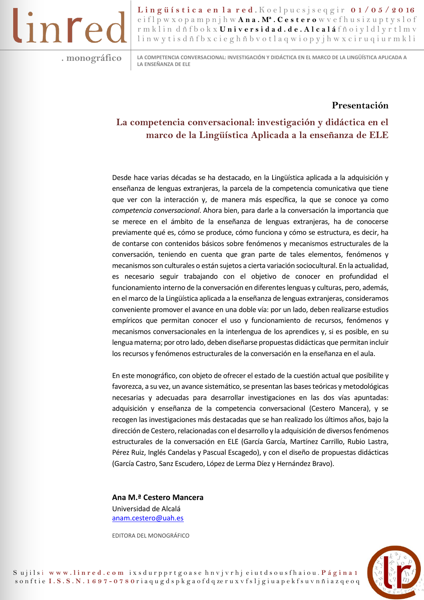

Lingüística en la red. Koelpucsjseqgir 01/05/2016 e i f l p w x o p a m p n j h w **A n a . Mª . C e s t e r o** w v e f h u s i z u p t y s l o f r m k l i n d ñ f b o k x **U n i v e r s i d a d . d e . A l c a l á** f ñ o i y l d l y r t l m v lin w y t i s d ñ f b x c i e g h ñ b v o t l a q w i o p y j h w x c i r u q i u r m k l i

**. monográfico LA COMPETENCIA CONVERSACIONAL: INVESTIGACIÓN Y DIDÁCTICA EN EL MARCO DE LA LINGÜÍSTICA APLICADA A LA ENSEÑANZA DE ELE**

#### **Presentación**

# **La competencia conversacional: investigación y didáctica en el marco de la Lingüística Aplicada a la enseñanza de ELE**

Desde hace varias décadas se ha destacado, en la Lingüística aplicada a la adquisición y enseñanza de lenguas extranjeras, la parcela de la competencia comunicativa que tiene que ver con la interacción y, de manera más específica, la que se conoce ya como *competencia conversacional*. Ahora bien, para darle a la conversación la importancia que se merece en el ámbito de la enseñanza de lenguas extranjeras, ha de conocerse previamente qué es, cómo se produce, cómo funciona y cómo se estructura, es decir, ha de contarse con contenidos básicos sobre fenómenos y mecanismos estructurales de la conversación, teniendo en cuenta que gran parte de tales elementos, fenómenos y mecanismos son culturales o están sujetos a cierta variación sociocultural. En la actualidad, es necesario seguir trabajando con el objetivo de conocer en profundidad el funcionamiento interno de la conversación en diferentes lenguas y culturas, pero, además, en el marco de la Lingüística aplicada a la enseñanza de lenguas extranjeras, consideramos conveniente promover el avance en una doble vía: por un lado, deben realizarse estudios empíricos que permitan conocer el uso y funcionamiento de recursos, fenómenos y mecanismos conversacionales en la interlengua de los aprendices y, si es posible, en su lengua materna; por otro lado, deben diseñarse propuestas didácticas que permitan incluir los recursos y fenómenos estructurales de la conversación en la enseñanza en el aula.

En este monográfico, con objeto de ofrecer el estado de la cuestión actual que posibilite y favorezca, a su vez, un avance sistemático, se presentan las bases teóricas y metodológicas necesarias y adecuadas para desarrollar investigaciones en las dos vías apuntadas: adquisición y enseñanza de la competencia conversacional (Cestero Mancera), y se recogen las investigaciones más destacadas que se han realizado los últimos años, bajo la dirección de Cestero, relacionadas con el desarrollo y la adquisición de diversos fenómenos estructurales de la conversación en ELE (García García, Martínez Carrillo, Rubio Lastra, Pérez Ruiz, Inglés Candelas y Pascual Escagedo), y con el diseño de propuestas didácticas (García Castro, Sanz Escudero, López de Lerma Díez y Hernández Bravo).

#### **Ana M.ª Cestero Mancera**

Universidad de Alcalá [anam.cestero@uah.es](mailto:anam.cestero@uah.es)

EDITORA DEL MONOGRÁFICO